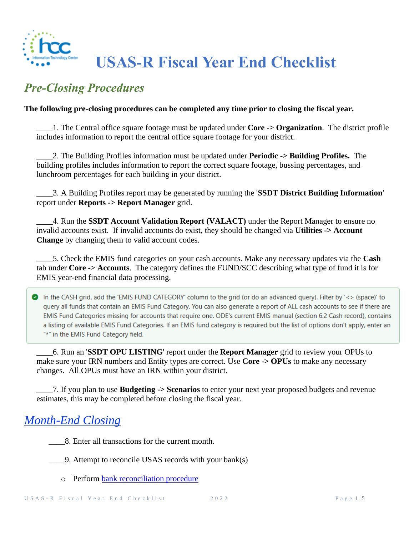

## **USAS-R Fiscal Year End Checklist**

## *Pre-Closing Procedures*

#### **The following pre-closing procedures can be completed any time prior to closing the fiscal year.**

\_\_\_\_1. The Central office square footage must be updated under **Core -> Organization**. The district profile includes information to report the central office square footage for your district.

\_\_\_\_2. The Building Profiles information must be updated under **Periodic -> Building Profiles.** The building profiles includes information to report the correct square footage, bussing percentages, and lunchroom percentages for each building in your district.

\_\_\_\_3. A Building Profiles report may be generated by running the '**SSDT District Building Information**' report under **Reports -> Report Manager** grid.

\_\_\_\_4. Run the **SSDT Account Validation Report (VALACT)** under the Report Manager to ensure no invalid accounts exist. If invalid accounts do exist, they should be changed via **Utilities -> Account Change** by changing them to valid account codes.

\_\_\_\_5. Check the EMIS fund categories on your cash accounts. Make any necessary updates via the **Cash** tab under **Core -> Accounts**. The category defines the FUND/SCC describing what type of fund it is for EMIS year-end financial data processing.

In the CASH grid, add the 'EMIS FUND CATEGORY' column to the grid (or do an advanced query). Filter by '<> (space)' to query all funds that contain an EMIS Fund Category. You can also generate a report of ALL cash accounts to see if there are EMIS Fund Categories missing for accounts that require one. ODE's current EMIS manual (section 6.2 Cash record), contains a listing of available EMIS Fund Categories. If an EMIS fund category is required but the list of options don't apply, enter an "\*" in the EMIS Fund Category field.

\_\_\_\_6. Run an '**SSDT OPU LISTING**' report under the **Report Manager** grid to review your OPUs to make sure your IRN numbers and Entity types are correct. Use **Core -> OPUs** to make any necessary changes. All OPUs must have an IRN within your district.

\_\_\_\_7. If you plan to use **Budgeting -> Scenarios** to enter your next year proposed budgets and revenue estimates, this may be completed before closing the fiscal year.

### *Month-End Closing*

\_\_\_\_8. Enter all transactions for the current month.

\_\_\_\_9. Attempt to reconcile USAS records with your bank(s)

o Perform [bank reconciliation procedure](https://wiki.ssdt-ohio.org/display/usasrdoc/USAS-R+Month+end+Balancing+Checklist#USAS-RMonthendBalancingChecklist-reconcile)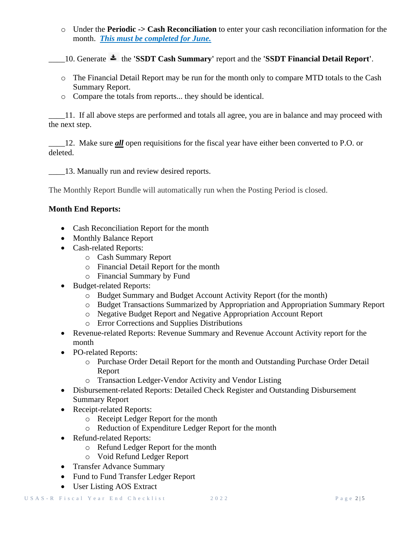o Under the **Periodic -> Cash Reconciliation** to enter your cash reconciliation information for the month. *This must be completed for June.*

\_\_\_\_10. Generate the **'SSDT Cash Summary'** report and the **'SSDT Financial Detail Report'**.

- o The Financial Detail Report may be run for the month only to compare MTD totals to the Cash Summary Report.
- o Compare the totals from reports... they should be identical.

\_\_\_\_11. If all above steps are performed and totals all agree, you are in balance and may proceed with the next step.

\_\_\_\_12. Make sure *all* open requisitions for the fiscal year have either been converted to P.O. or deleted.

13. Manually run and review desired reports.

The Monthly Report Bundle will automatically run when the Posting Period is closed.

#### **Month End Reports:**

- Cash Reconciliation Report for the month
- Monthly Balance Report
- Cash-related Reports:
	- o Cash Summary Report
	- o Financial Detail Report for the month
	- o Financial Summary by Fund
- Budget-related Reports:
	- o Budget Summary and Budget Account Activity Report (for the month)
	- o Budget Transactions Summarized by Appropriation and Appropriation Summary Report
	- o Negative Budget Report and Negative Appropriation Account Report
	- o Error Corrections and Supplies Distributions
- Revenue-related Reports: Revenue Summary and Revenue Account Activity report for the month
- PO-related Reports:
	- o Purchase Order Detail Report for the month and Outstanding Purchase Order Detail Report
	- o Transaction Ledger-Vendor Activity and Vendor Listing
- Disbursement-related Reports: Detailed Check Register and Outstanding Disbursement Summary Report
- Receipt-related Reports:
	- o Receipt Ledger Report for the month
	- o Reduction of Expenditure Ledger Report for the month
- Refund-related Reports:
	- o Refund Ledger Report for the month
	- o Void Refund Ledger Report
- Transfer Advance Summary
- Fund to Fund Transfer Ledger Report
- User Listing AOS Extract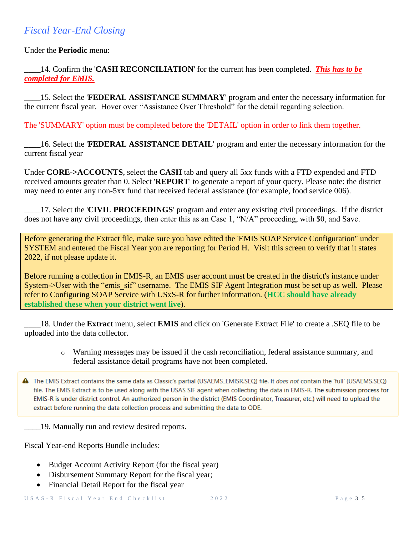Under the **Periodic** menu:

\_\_\_\_14. Confirm the '**CASH RECONCILIATION**' for the current has been completed. *This has to be completed for EMIS.*

\_\_\_\_15. Select the '**FEDERAL ASSISTANCE SUMMARY**' program and enter the necessary information for the current fiscal year. Hover over "Assistance Over Threshold" for the detail regarding selection.

The 'SUMMARY' option must be completed before the 'DETAIL' option in order to link them together.

\_\_\_\_16. Select the '**FEDERAL ASSISTANCE DETAIL**' program and enter the necessary information for the current fiscal year

Under **CORE->ACCOUNTS**, select the **CASH** tab and query all 5xx funds with a FTD expended and FTD received amounts greater than 0. Select '**REPORT**' to generate a report of your query. Please note: the district may need to enter any non-5xx fund that received federal assistance (for example, food service 006).

\_\_\_\_17. Select the '**CIVIL PROCEEDINGS**' program and enter any existing civil proceedings. If the district does not have any civil proceedings, then enter this as an Case 1, "N/A" proceeding, with \$0, and Save.

Before generating the Extract file, make sure you have edited the 'EMIS SOAP Service Configuration" under SYSTEM and entered the Fiscal Year you are reporting for Period H. Visit this screen to verify that it states 2022, if not please update it.

Before running a collection in EMIS-R, an EMIS user account must be created in the district's instance under System->User with the "emis sif" username. The EMIS SIF Agent Integration must be set up as well. Please refer to [Configuring SOAP Service with USxS-R](https://wiki.ssdt-ohio.org/display/rtd/Configuring+SOAP+Service+with+USxS-R) for further information. (**HCC should have already established these when your district went live**).

\_\_\_\_18. Under the **Extract** menu, select **EMIS** and click on 'Generate Extract File' to create a .SEQ file to be uploaded into the data collector.

- o Warning messages may be issued if the cash reconciliation, federal assistance summary, and federal assistance detail programs have not been completed.
- The EMIS Extract contains the same data as Classic's partial (USAEMS EMISR.SEQ) file. It does not contain the 'full' (USAEMS.SEQ) file. The EMIS Extract is to be used along with the USAS SIF agent when collecting the data in EMIS-R. The submission process for EMIS-R is under district control. An authorized person in the district (EMIS Coordinator, Treasurer, etc.) will need to upload the extract before running the data collection process and submitting the data to ODE.
- 19. Manually run and review desired reports.

Fiscal Year-end Reports Bundle includes:

- Budget Account Activity Report (for the fiscal year)
- Disbursement Summary Report for the fiscal year;
- Financial Detail Report for the fiscal year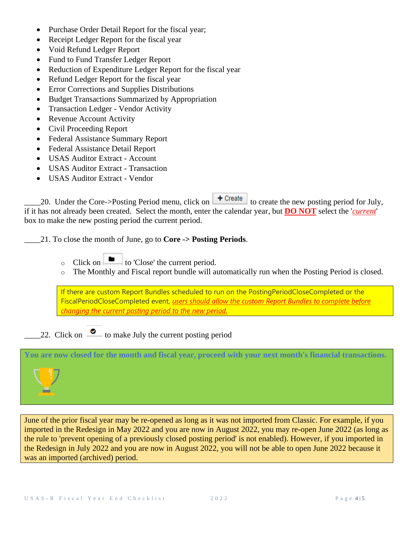- Purchase Order Detail Report for the fiscal year;
- Receipt Ledger Report for the fiscal year
- Void Refund Ledger Report
- Fund to Fund Transfer Ledger Report
- Reduction of Expenditure Ledger Report for the fiscal year
- Refund Ledger Report for the fiscal year
- Error Corrections and Supplies Distributions
- Budget Transactions Summarized by Appropriation
- Transaction Ledger Vendor Activity
- Revenue Account Activity
- Civil Proceeding Report
- Federal Assistance Summary Report
- Federal Assistance Detail Report
- **USAS Auditor Extract Account**
- USAS Auditor Extract Transaction
- USAS Auditor Extract Vendor

20. Under the Core->Posting Period menu, click on  $\begin{array}{c} \text{+ Create} \\ \text{+ Create} \end{array}$  to create the new posting period for July, if it has not already been created. Select the month, enter the calendar year, but **DO NOT** select the '*current*' box to make the new posting period the current period.

\_\_\_\_21. To close the month of June, go to **Core -> Posting Periods**.

- o Click on  $\Box$  to 'Close' the current period.
- o The Monthly and Fiscal report bundle will automatically run when the Posting Period is closed.

If there are custom Report Bundles scheduled to run on the PostingPeriodCloseCompleted or the FiscalPeriodCloseCompleted event, *users should allow the custom Report Bundles to complete before changing the current posting period to the new period.*

22. Click on  $\bullet$  to make July the current posting period

# **You are now closed for the month and fiscal year, proceed with your next month's financial transactions.**

June of the prior fiscal year may be re-opened as long as it was not imported from Classic. For example, if you imported in the Redesign in May 2022 and you are now in August 2022, you may re-open June 2022 (as long as the rule to 'prevent opening of a previously closed posting period' is not enabled). However, if you imported in the Redesign in July 2022 and you are now in August 2022, you will not be able to open June 2022 because it was an imported (archived) period.